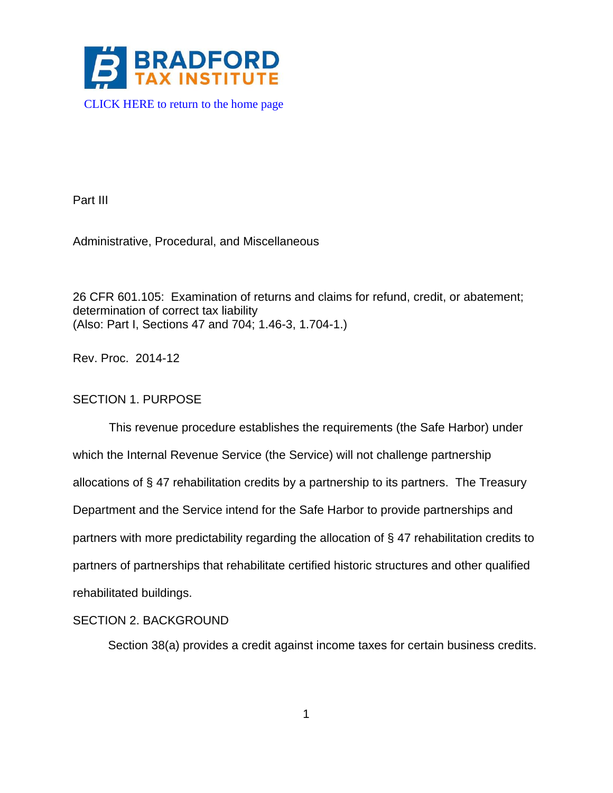

Part III

Administrative, Procedural, and Miscellaneous

26 CFR 601.105: Examination of returns and claims for refund, credit, or abatement; determination of correct tax liability (Also: Part I, Sections 47 and 704; 1.46-3, 1.704-1.)

Rev. Proc. 2014-12

# SECTION 1. PURPOSE

This revenue procedure establishes the requirements (the Safe Harbor) under which the Internal Revenue Service (the Service) will not challenge partnership allocations of § 47 rehabilitation credits by a partnership to its partners. The Treasury Department and the Service intend for the Safe Harbor to provide partnerships and partners with more predictability regarding the allocation of § 47 rehabilitation credits to partners of partnerships that rehabilitate certified historic structures and other qualified rehabilitated buildings.

# SECTION 2. BACKGROUND

Section 38(a) provides a credit against income taxes for certain business credits.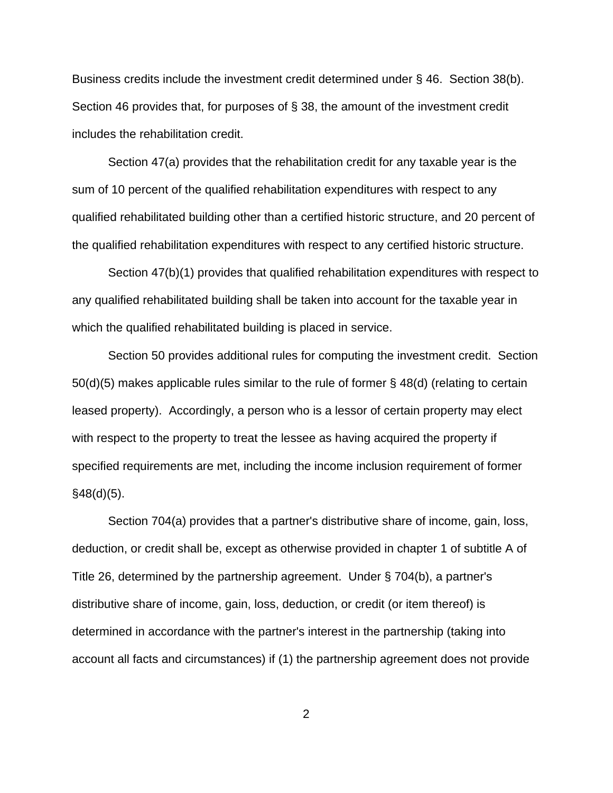Business credits include the investment credit determined under § 46. Section 38(b). Section 46 provides that, for purposes of § 38, the amount of the investment credit includes the rehabilitation credit.

Section 47(a) provides that the rehabilitation credit for any taxable year is the sum of 10 percent of the qualified rehabilitation expenditures with respect to any qualified rehabilitated building other than a certified historic structure, and 20 percent of the qualified rehabilitation expenditures with respect to any certified historic structure.

Section 47(b)(1) provides that qualified rehabilitation expenditures with respect to any qualified rehabilitated building shall be taken into account for the taxable year in which the qualified rehabilitated building is placed in service.

Section 50 provides additional rules for computing the investment credit. Section 50(d)(5) makes applicable rules similar to the rule of former § 48(d) (relating to certain leased property). Accordingly, a person who is a lessor of certain property may elect with respect to the property to treat the lessee as having acquired the property if specified requirements are met, including the income inclusion requirement of former  $§48(d)(5)$ .

Section 704(a) provides that a partner's distributive share of income, gain, loss, deduction, or credit shall be, except as otherwise provided in chapter 1 of subtitle A of Title 26, determined by the partnership agreement. Under § 704(b), a partner's distributive share of income, gain, loss, deduction, or credit (or item thereof) is determined in accordance with the partner's interest in the partnership (taking into account all facts and circumstances) if (1) the partnership agreement does not provide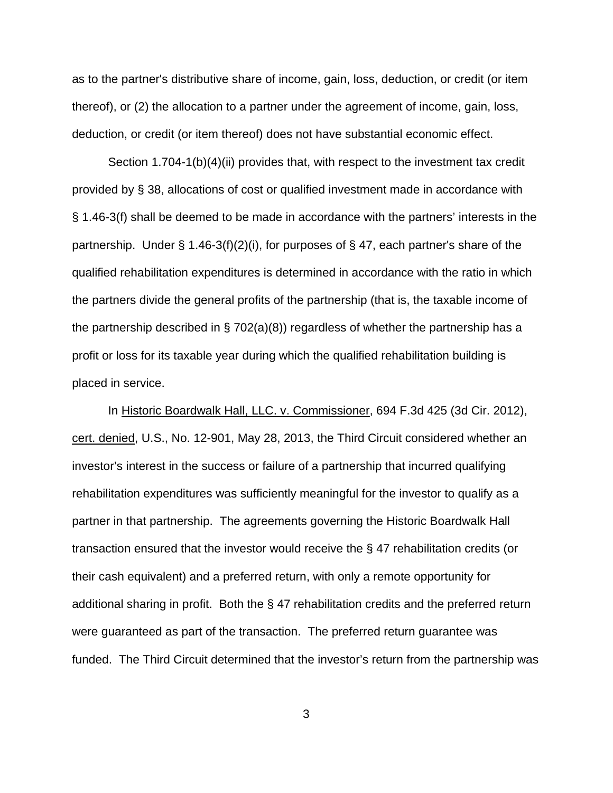as to the partner's distributive share of income, gain, loss, deduction, or credit (or item thereof), or (2) the allocation to a partner under the agreement of income, gain, loss, deduction, or credit (or item thereof) does not have substantial economic effect.

Section 1.704-1(b)(4)(ii) provides that, with respect to the investment tax credit provided by § 38, allocations of cost or qualified investment made in accordance with § 1.46-3(f) shall be deemed to be made in accordance with the partners' interests in the partnership. Under  $\S$  1.46-3(f)(2)(i), for purposes of  $\S$  47, each partner's share of the qualified rehabilitation expenditures is determined in accordance with the ratio in which the partners divide the general profits of the partnership (that is, the taxable income of the partnership described in  $\S$  702(a)(8)) regardless of whether the partnership has a profit or loss for its taxable year during which the qualified rehabilitation building is placed in service.

In Historic Boardwalk Hall, LLC. v. Commissioner, 694 F.3d 425 (3d Cir. 2012), cert. denied, U.S., No. 12-901, May 28, 2013, the Third Circuit considered whether an investor's interest in the success or failure of a partnership that incurred qualifying rehabilitation expenditures was sufficiently meaningful for the investor to qualify as a partner in that partnership. The agreements governing the Historic Boardwalk Hall transaction ensured that the investor would receive the § 47 rehabilitation credits (or their cash equivalent) and a preferred return, with only a remote opportunity for additional sharing in profit. Both the § 47 rehabilitation credits and the preferred return were guaranteed as part of the transaction. The preferred return guarantee was funded. The Third Circuit determined that the investor's return from the partnership was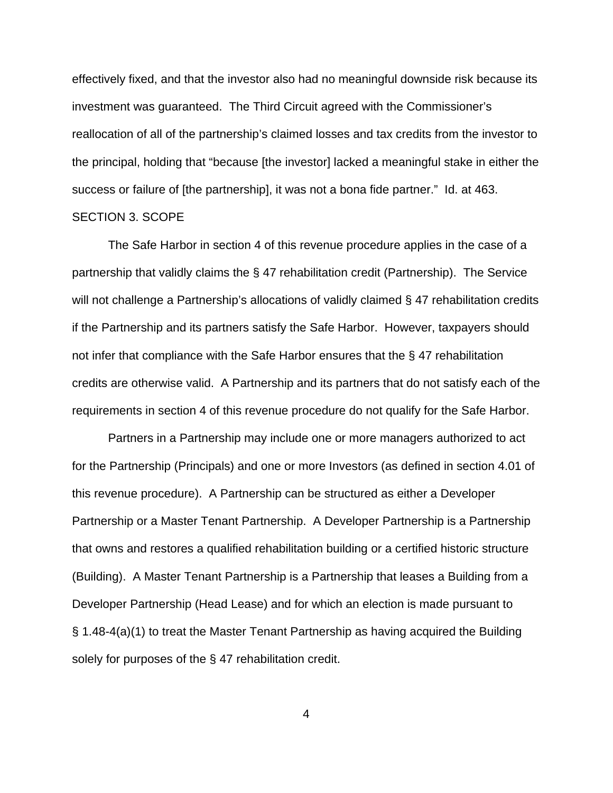effectively fixed, and that the investor also had no meaningful downside risk because its investment was guaranteed. The Third Circuit agreed with the Commissioner's reallocation of all of the partnership's claimed losses and tax credits from the investor to the principal, holding that "because [the investor] lacked a meaningful stake in either the success or failure of [the partnership], it was not a bona fide partner." Id. at 463. SECTION 3. SCOPE

The Safe Harbor in section 4 of this revenue procedure applies in the case of a partnership that validly claims the § 47 rehabilitation credit (Partnership). The Service will not challenge a Partnership's allocations of validly claimed § 47 rehabilitation credits if the Partnership and its partners satisfy the Safe Harbor. However, taxpayers should not infer that compliance with the Safe Harbor ensures that the § 47 rehabilitation credits are otherwise valid. A Partnership and its partners that do not satisfy each of the requirements in section 4 of this revenue procedure do not qualify for the Safe Harbor.

Partners in a Partnership may include one or more managers authorized to act for the Partnership (Principals) and one or more Investors (as defined in section 4.01 of this revenue procedure). A Partnership can be structured as either a Developer Partnership or a Master Tenant Partnership. A Developer Partnership is a Partnership that owns and restores a qualified rehabilitation building or a certified historic structure (Building). A Master Tenant Partnership is a Partnership that leases a Building from a Developer Partnership (Head Lease) and for which an election is made pursuant to § 1.48-4(a)(1) to treat the Master Tenant Partnership as having acquired the Building solely for purposes of the § 47 rehabilitation credit.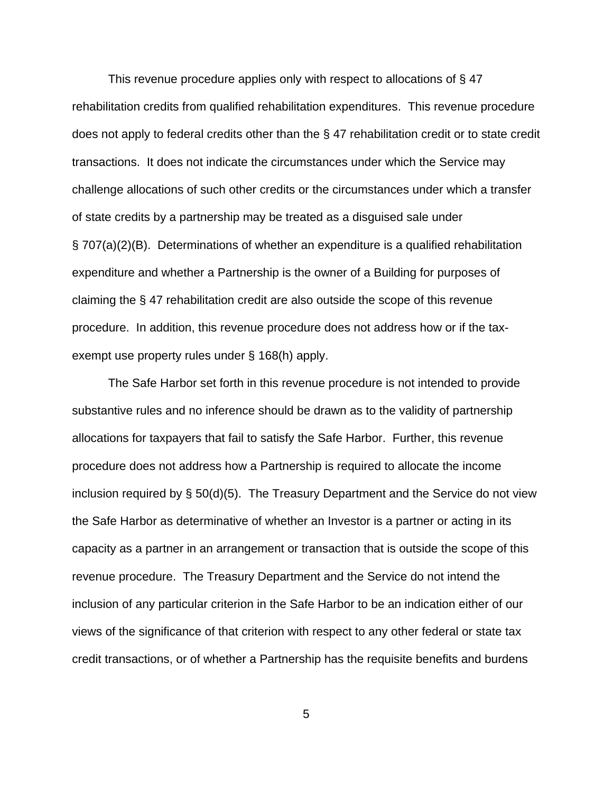This revenue procedure applies only with respect to allocations of § 47 rehabilitation credits from qualified rehabilitation expenditures. This revenue procedure does not apply to federal credits other than the § 47 rehabilitation credit or to state credit transactions. It does not indicate the circumstances under which the Service may challenge allocations of such other credits or the circumstances under which a transfer of state credits by a partnership may be treated as a disguised sale under § 707(a)(2)(B). Determinations of whether an expenditure is a qualified rehabilitation expenditure and whether a Partnership is the owner of a Building for purposes of claiming the § 47 rehabilitation credit are also outside the scope of this revenue procedure. In addition, this revenue procedure does not address how or if the taxexempt use property rules under § 168(h) apply.

The Safe Harbor set forth in this revenue procedure is not intended to provide substantive rules and no inference should be drawn as to the validity of partnership allocations for taxpayers that fail to satisfy the Safe Harbor. Further, this revenue procedure does not address how a Partnership is required to allocate the income inclusion required by § 50(d)(5). The Treasury Department and the Service do not view the Safe Harbor as determinative of whether an Investor is a partner or acting in its capacity as a partner in an arrangement or transaction that is outside the scope of this revenue procedure. The Treasury Department and the Service do not intend the inclusion of any particular criterion in the Safe Harbor to be an indication either of our views of the significance of that criterion with respect to any other federal or state tax credit transactions, or of whether a Partnership has the requisite benefits and burdens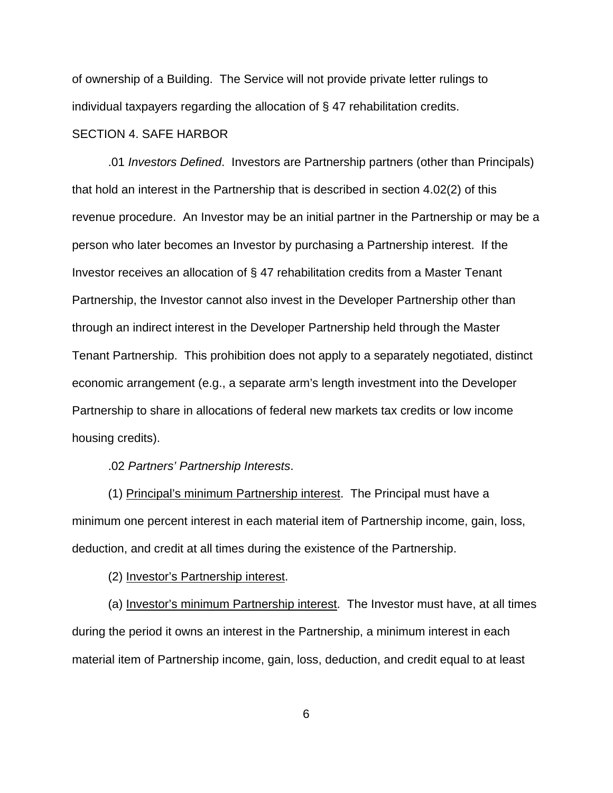of ownership of a Building. The Service will not provide private letter rulings to individual taxpayers regarding the allocation of § 47 rehabilitation credits.

## SECTION 4. SAFE HARBOR

.01 *Investors Defined*. Investors are Partnership partners (other than Principals) that hold an interest in the Partnership that is described in section 4.02(2) of this revenue procedure. An Investor may be an initial partner in the Partnership or may be a person who later becomes an Investor by purchasing a Partnership interest. If the Investor receives an allocation of § 47 rehabilitation credits from a Master Tenant Partnership, the Investor cannot also invest in the Developer Partnership other than through an indirect interest in the Developer Partnership held through the Master Tenant Partnership. This prohibition does not apply to a separately negotiated, distinct economic arrangement (e.g., a separate arm's length investment into the Developer Partnership to share in allocations of federal new markets tax credits or low income housing credits).

### .02 *Partners' Partnership Interests*.

(1) Principal's minimum Partnership interest. The Principal must have a minimum one percent interest in each material item of Partnership income, gain, loss, deduction, and credit at all times during the existence of the Partnership.

(2) Investor's Partnership interest.

(a) Investor's minimum Partnership interest. The Investor must have, at all times during the period it owns an interest in the Partnership, a minimum interest in each material item of Partnership income, gain, loss, deduction, and credit equal to at least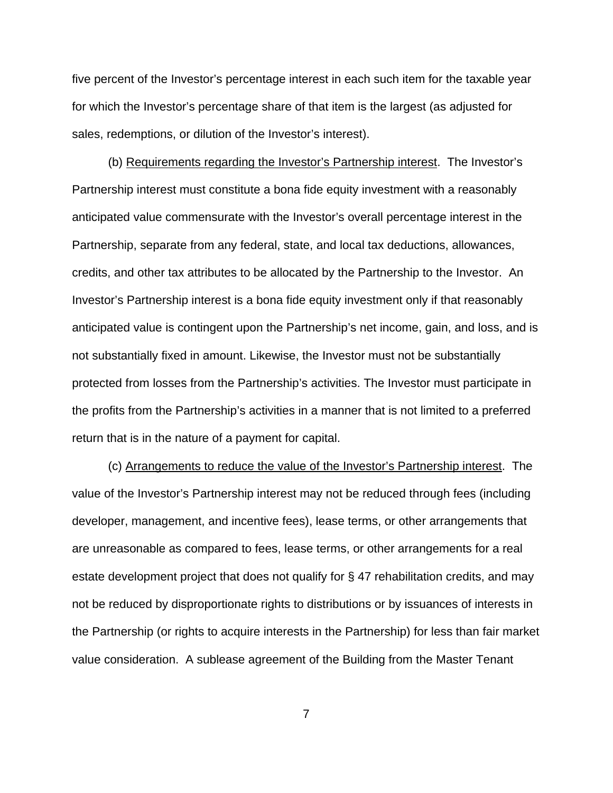five percent of the Investor's percentage interest in each such item for the taxable year for which the Investor's percentage share of that item is the largest (as adjusted for sales, redemptions, or dilution of the Investor's interest).

(b) Requirements regarding the Investor's Partnership interest. The Investor's Partnership interest must constitute a bona fide equity investment with a reasonably anticipated value commensurate with the Investor's overall percentage interest in the Partnership, separate from any federal, state, and local tax deductions, allowances, credits, and other tax attributes to be allocated by the Partnership to the Investor. An Investor's Partnership interest is a bona fide equity investment only if that reasonably anticipated value is contingent upon the Partnership's net income, gain, and loss, and is not substantially fixed in amount. Likewise, the Investor must not be substantially protected from losses from the Partnership's activities. The Investor must participate in the profits from the Partnership's activities in a manner that is not limited to a preferred return that is in the nature of a payment for capital.

(c) Arrangements to reduce the value of the Investor's Partnership interest. The value of the Investor's Partnership interest may not be reduced through fees (including developer, management, and incentive fees), lease terms, or other arrangements that are unreasonable as compared to fees, lease terms, or other arrangements for a real estate development project that does not qualify for § 47 rehabilitation credits, and may not be reduced by disproportionate rights to distributions or by issuances of interests in the Partnership (or rights to acquire interests in the Partnership) for less than fair market value consideration. A sublease agreement of the Building from the Master Tenant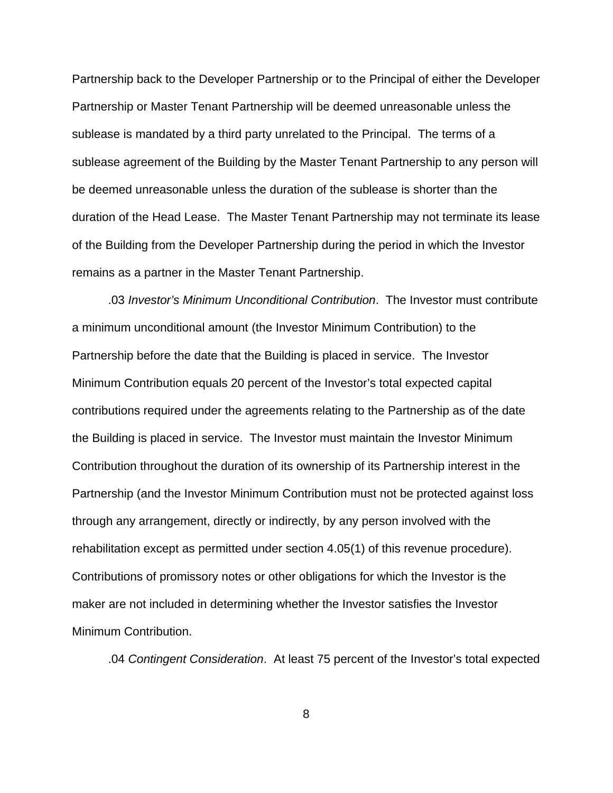Partnership back to the Developer Partnership or to the Principal of either the Developer Partnership or Master Tenant Partnership will be deemed unreasonable unless the sublease is mandated by a third party unrelated to the Principal. The terms of a sublease agreement of the Building by the Master Tenant Partnership to any person will be deemed unreasonable unless the duration of the sublease is shorter than the duration of the Head Lease. The Master Tenant Partnership may not terminate its lease of the Building from the Developer Partnership during the period in which the Investor remains as a partner in the Master Tenant Partnership.

.03 *Investor's Minimum Unconditional Contribution*. The Investor must contribute a minimum unconditional amount (the Investor Minimum Contribution) to the Partnership before the date that the Building is placed in service. The Investor Minimum Contribution equals 20 percent of the Investor's total expected capital contributions required under the agreements relating to the Partnership as of the date the Building is placed in service. The Investor must maintain the Investor Minimum Contribution throughout the duration of its ownership of its Partnership interest in the Partnership (and the Investor Minimum Contribution must not be protected against loss through any arrangement, directly or indirectly, by any person involved with the rehabilitation except as permitted under section 4.05(1) of this revenue procedure). Contributions of promissory notes or other obligations for which the Investor is the maker are not included in determining whether the Investor satisfies the Investor Minimum Contribution.

.04 *Contingent Consideration*. At least 75 percent of the Investor's total expected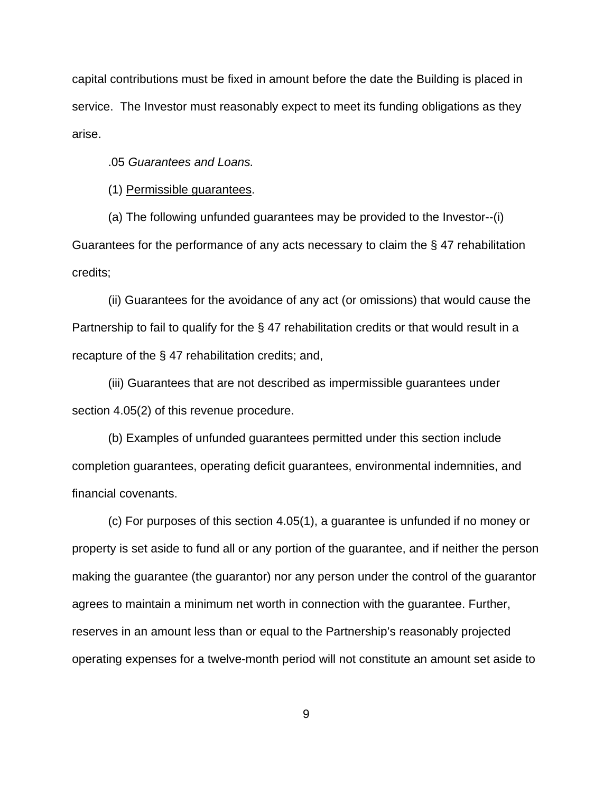capital contributions must be fixed in amount before the date the Building is placed in service. The Investor must reasonably expect to meet its funding obligations as they arise.

.05 *Guarantees and Loans.*

(1) Permissible guarantees.

(a) The following unfunded guarantees may be provided to the Investor--(i) Guarantees for the performance of any acts necessary to claim the § 47 rehabilitation credits;

(ii) Guarantees for the avoidance of any act (or omissions) that would cause the Partnership to fail to qualify for the § 47 rehabilitation credits or that would result in a recapture of the § 47 rehabilitation credits; and,

(iii) Guarantees that are not described as impermissible guarantees under section 4.05(2) of this revenue procedure.

(b) Examples of unfunded guarantees permitted under this section include completion guarantees, operating deficit guarantees, environmental indemnities, and financial covenants.

(c) For purposes of this section 4.05(1), a guarantee is unfunded if no money or property is set aside to fund all or any portion of the guarantee, and if neither the person making the guarantee (the guarantor) nor any person under the control of the guarantor agrees to maintain a minimum net worth in connection with the guarantee. Further, reserves in an amount less than or equal to the Partnership's reasonably projected operating expenses for a twelve-month period will not constitute an amount set aside to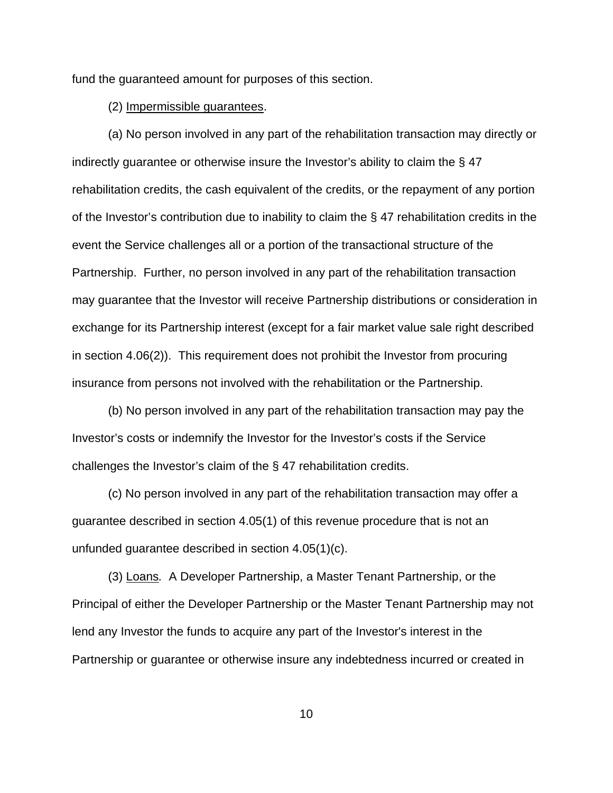fund the guaranteed amount for purposes of this section.

### (2) Impermissible guarantees.

(a) No person involved in any part of the rehabilitation transaction may directly or indirectly guarantee or otherwise insure the Investor's ability to claim the § 47 rehabilitation credits, the cash equivalent of the credits, or the repayment of any portion of the Investor's contribution due to inability to claim the § 47 rehabilitation credits in the event the Service challenges all or a portion of the transactional structure of the Partnership. Further, no person involved in any part of the rehabilitation transaction may guarantee that the Investor will receive Partnership distributions or consideration in exchange for its Partnership interest (except for a fair market value sale right described in section 4.06(2)). This requirement does not prohibit the Investor from procuring insurance from persons not involved with the rehabilitation or the Partnership.

(b) No person involved in any part of the rehabilitation transaction may pay the Investor's costs or indemnify the Investor for the Investor's costs if the Service challenges the Investor's claim of the § 47 rehabilitation credits.

(c) No person involved in any part of the rehabilitation transaction may offer a guarantee described in section 4.05(1) of this revenue procedure that is not an unfunded guarantee described in section 4.05(1)(c).

 (3) Loans*.* A Developer Partnership, a Master Tenant Partnership, or the Principal of either the Developer Partnership or the Master Tenant Partnership may not lend any Investor the funds to acquire any part of the Investor's interest in the Partnership or guarantee or otherwise insure any indebtedness incurred or created in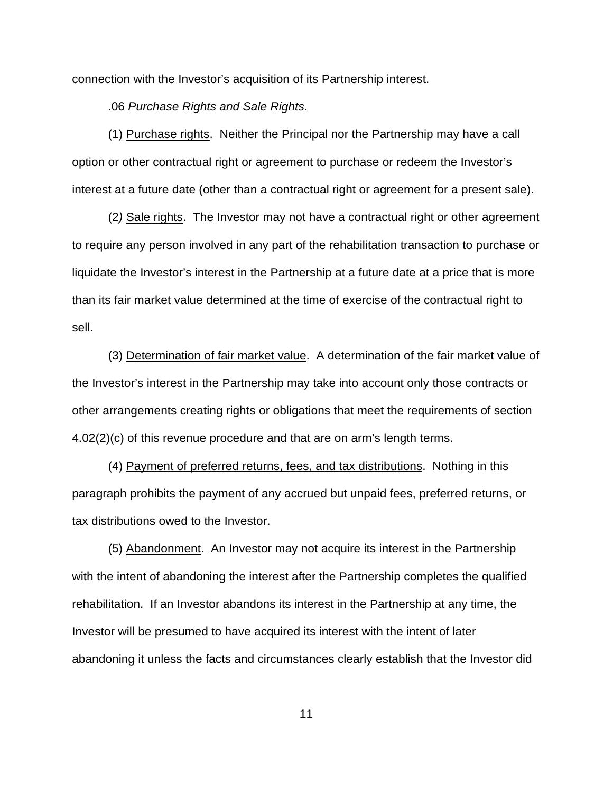connection with the Investor's acquisition of its Partnership interest.

.06 *Purchase Rights and Sale Rights*.

(1) Purchase rights. Neither the Principal nor the Partnership may have a call option or other contractual right or agreement to purchase or redeem the Investor's interest at a future date (other than a contractual right or agreement for a present sale).

(2*)* Sale rights. The Investor may not have a contractual right or other agreement to require any person involved in any part of the rehabilitation transaction to purchase or liquidate the Investor's interest in the Partnership at a future date at a price that is more than its fair market value determined at the time of exercise of the contractual right to sell.

(3) Determination of fair market value. A determination of the fair market value of the Investor's interest in the Partnership may take into account only those contracts or other arrangements creating rights or obligations that meet the requirements of section 4.02(2)(c) of this revenue procedure and that are on arm's length terms.

(4) Payment of preferred returns, fees, and tax distributions. Nothing in this paragraph prohibits the payment of any accrued but unpaid fees, preferred returns, or tax distributions owed to the Investor.

(5) Abandonment. An Investor may not acquire its interest in the Partnership with the intent of abandoning the interest after the Partnership completes the qualified rehabilitation. If an Investor abandons its interest in the Partnership at any time, the Investor will be presumed to have acquired its interest with the intent of later abandoning it unless the facts and circumstances clearly establish that the Investor did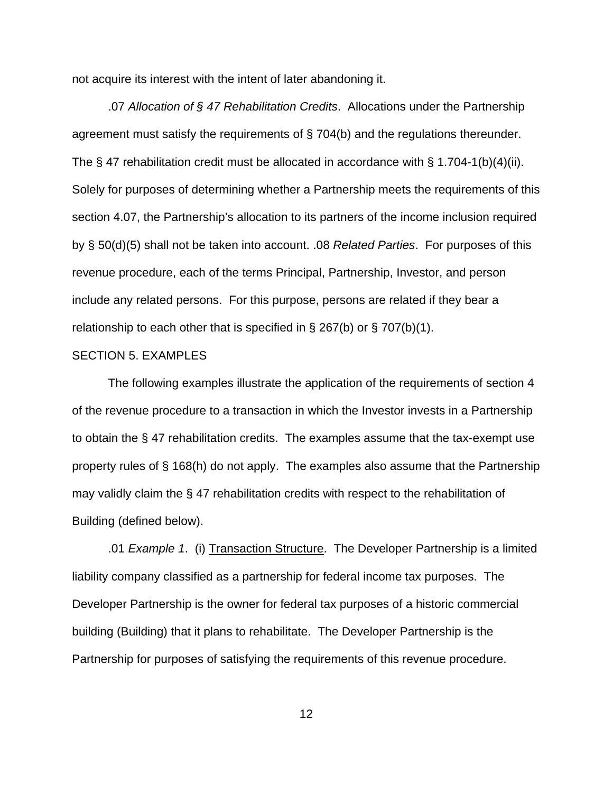not acquire its interest with the intent of later abandoning it.

.07 *Allocation of § 47 Rehabilitation Credits*. Allocations under the Partnership agreement must satisfy the requirements of § 704(b) and the regulations thereunder. The § 47 rehabilitation credit must be allocated in accordance with § 1.704-1(b)(4)(ii). Solely for purposes of determining whether a Partnership meets the requirements of this section 4.07, the Partnership's allocation to its partners of the income inclusion required by § 50(d)(5) shall not be taken into account. .08 *Related Parties*. For purposes of this revenue procedure, each of the terms Principal, Partnership, Investor, and person include any related persons. For this purpose, persons are related if they bear a relationship to each other that is specified in  $\S$  267(b) or  $\S$  707(b)(1).

#### SECTION 5. EXAMPLES

The following examples illustrate the application of the requirements of section 4 of the revenue procedure to a transaction in which the Investor invests in a Partnership to obtain the § 47 rehabilitation credits. The examples assume that the tax-exempt use property rules of § 168(h) do not apply. The examples also assume that the Partnership may validly claim the § 47 rehabilitation credits with respect to the rehabilitation of Building (defined below).

.01 *Example 1*. (i) Transaction Structure. The Developer Partnership is a limited liability company classified as a partnership for federal income tax purposes. The Developer Partnership is the owner for federal tax purposes of a historic commercial building (Building) that it plans to rehabilitate. The Developer Partnership is the Partnership for purposes of satisfying the requirements of this revenue procedure.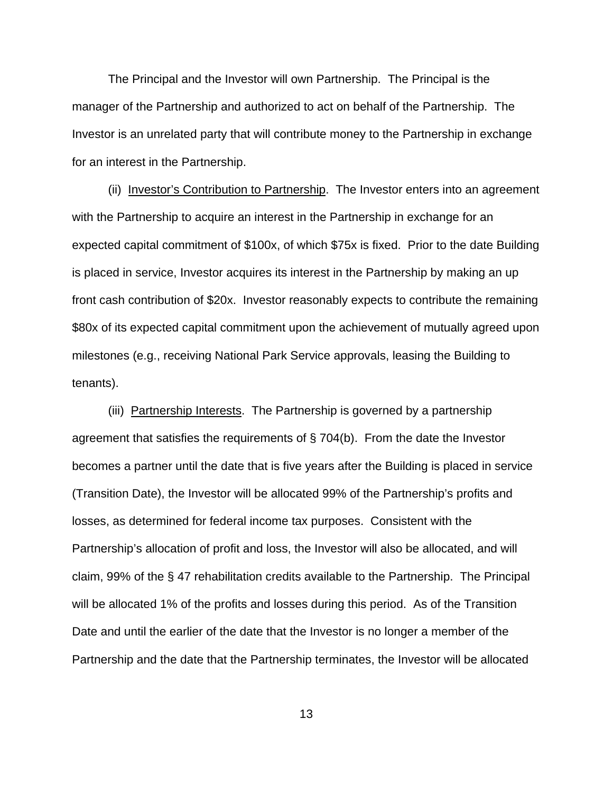The Principal and the Investor will own Partnership. The Principal is the manager of the Partnership and authorized to act on behalf of the Partnership. The Investor is an unrelated party that will contribute money to the Partnership in exchange for an interest in the Partnership.

(ii) Investor's Contribution to Partnership. The Investor enters into an agreement with the Partnership to acquire an interest in the Partnership in exchange for an expected capital commitment of \$100x, of which \$75x is fixed. Prior to the date Building is placed in service, Investor acquires its interest in the Partnership by making an up front cash contribution of \$20x. Investor reasonably expects to contribute the remaining \$80x of its expected capital commitment upon the achievement of mutually agreed upon milestones (e.g., receiving National Park Service approvals, leasing the Building to tenants).

(iii) Partnership Interests. The Partnership is governed by a partnership agreement that satisfies the requirements of § 704(b). From the date the Investor becomes a partner until the date that is five years after the Building is placed in service (Transition Date), the Investor will be allocated 99% of the Partnership's profits and losses, as determined for federal income tax purposes. Consistent with the Partnership's allocation of profit and loss, the Investor will also be allocated, and will claim, 99% of the § 47 rehabilitation credits available to the Partnership. The Principal will be allocated 1% of the profits and losses during this period. As of the Transition Date and until the earlier of the date that the Investor is no longer a member of the Partnership and the date that the Partnership terminates, the Investor will be allocated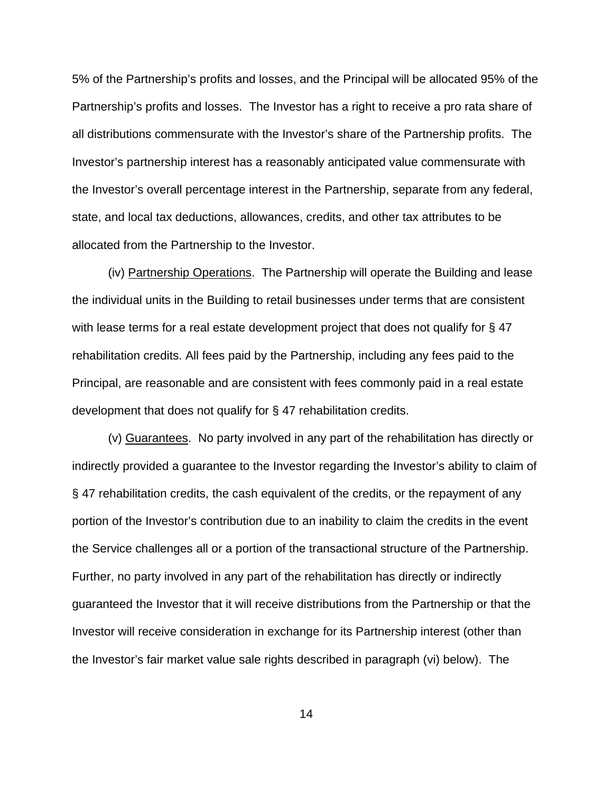5% of the Partnership's profits and losses, and the Principal will be allocated 95% of the Partnership's profits and losses. The Investor has a right to receive a pro rata share of all distributions commensurate with the Investor's share of the Partnership profits. The Investor's partnership interest has a reasonably anticipated value commensurate with the Investor's overall percentage interest in the Partnership, separate from any federal, state, and local tax deductions, allowances, credits, and other tax attributes to be allocated from the Partnership to the Investor.

(iv) Partnership Operations. The Partnership will operate the Building and lease the individual units in the Building to retail businesses under terms that are consistent with lease terms for a real estate development project that does not qualify for §47 rehabilitation credits. All fees paid by the Partnership, including any fees paid to the Principal, are reasonable and are consistent with fees commonly paid in a real estate development that does not qualify for § 47 rehabilitation credits.

(v) Guarantees. No party involved in any part of the rehabilitation has directly or indirectly provided a guarantee to the Investor regarding the Investor's ability to claim of § 47 rehabilitation credits, the cash equivalent of the credits, or the repayment of any portion of the Investor's contribution due to an inability to claim the credits in the event the Service challenges all or a portion of the transactional structure of the Partnership. Further, no party involved in any part of the rehabilitation has directly or indirectly guaranteed the Investor that it will receive distributions from the Partnership or that the Investor will receive consideration in exchange for its Partnership interest (other than the Investor's fair market value sale rights described in paragraph (vi) below). The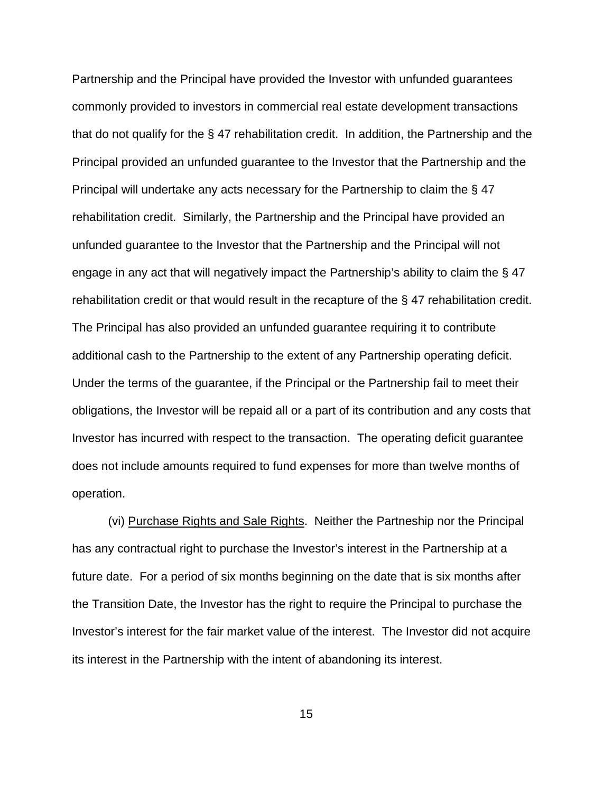Partnership and the Principal have provided the Investor with unfunded guarantees commonly provided to investors in commercial real estate development transactions that do not qualify for the § 47 rehabilitation credit. In addition, the Partnership and the Principal provided an unfunded guarantee to the Investor that the Partnership and the Principal will undertake any acts necessary for the Partnership to claim the § 47 rehabilitation credit. Similarly, the Partnership and the Principal have provided an unfunded guarantee to the Investor that the Partnership and the Principal will not engage in any act that will negatively impact the Partnership's ability to claim the § 47 rehabilitation credit or that would result in the recapture of the § 47 rehabilitation credit. The Principal has also provided an unfunded guarantee requiring it to contribute additional cash to the Partnership to the extent of any Partnership operating deficit. Under the terms of the guarantee, if the Principal or the Partnership fail to meet their obligations, the Investor will be repaid all or a part of its contribution and any costs that Investor has incurred with respect to the transaction. The operating deficit guarantee does not include amounts required to fund expenses for more than twelve months of operation.

(vi) Purchase Rights and Sale Rights. Neither the Partneship nor the Principal has any contractual right to purchase the Investor's interest in the Partnership at a future date. For a period of six months beginning on the date that is six months after the Transition Date, the Investor has the right to require the Principal to purchase the Investor's interest for the fair market value of the interest. The Investor did not acquire its interest in the Partnership with the intent of abandoning its interest.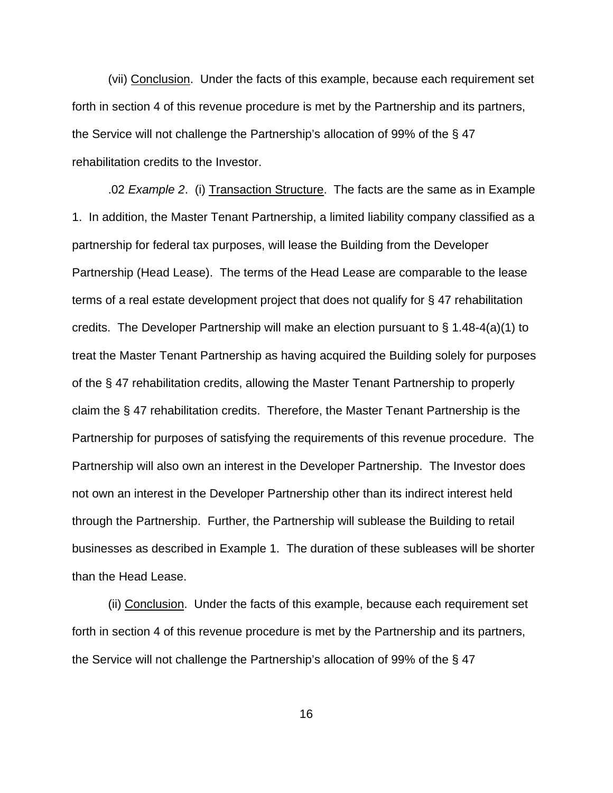(vii) Conclusion. Under the facts of this example, because each requirement set forth in section 4 of this revenue procedure is met by the Partnership and its partners, the Service will not challenge the Partnership's allocation of 99% of the § 47 rehabilitation credits to the Investor.

.02 *Example 2*. (i) Transaction Structure. The facts are the same as in Example 1. In addition, the Master Tenant Partnership, a limited liability company classified as a partnership for federal tax purposes, will lease the Building from the Developer Partnership (Head Lease). The terms of the Head Lease are comparable to the lease terms of a real estate development project that does not qualify for § 47 rehabilitation credits. The Developer Partnership will make an election pursuant to § 1.48-4(a)(1) to treat the Master Tenant Partnership as having acquired the Building solely for purposes of the § 47 rehabilitation credits, allowing the Master Tenant Partnership to properly claim the § 47 rehabilitation credits. Therefore, the Master Tenant Partnership is the Partnership for purposes of satisfying the requirements of this revenue procedure. The Partnership will also own an interest in the Developer Partnership. The Investor does not own an interest in the Developer Partnership other than its indirect interest held through the Partnership. Further, the Partnership will sublease the Building to retail businesses as described in Example 1. The duration of these subleases will be shorter than the Head Lease.

(ii) Conclusion. Under the facts of this example, because each requirement set forth in section 4 of this revenue procedure is met by the Partnership and its partners, the Service will not challenge the Partnership's allocation of 99% of the § 47